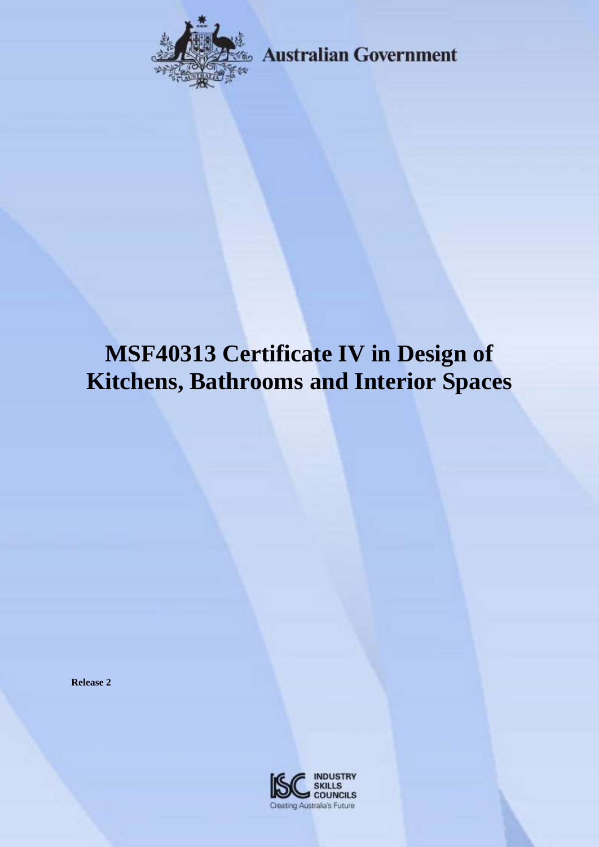

**Australian Government** 

# **MSF40313 Certificate IV in Design of Kitchens, Bathrooms and Interior Spaces**

**Release 2**

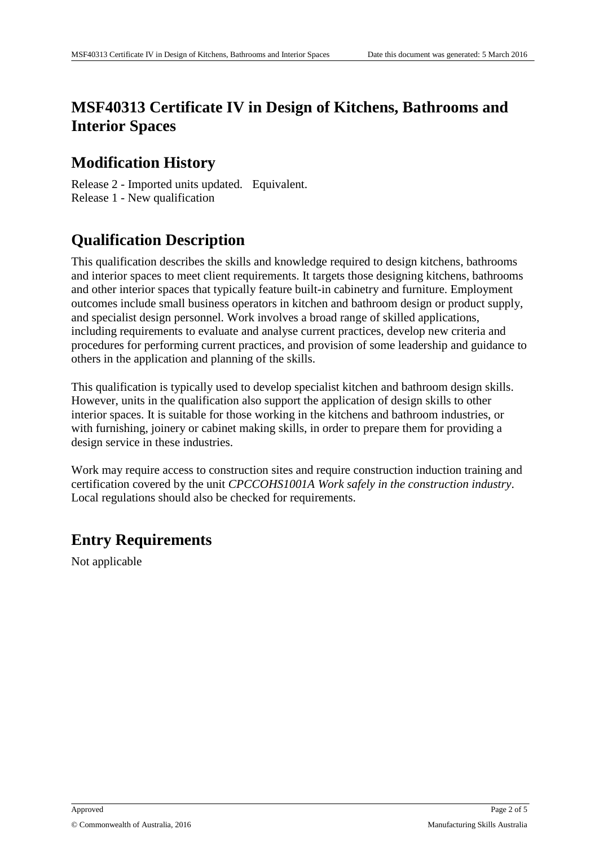# **MSF40313 Certificate IV in Design of Kitchens, Bathrooms and Interior Spaces**

### **Modification History**

Release 2 - Imported units updated. Equivalent. Release 1 - New qualification

# **Qualification Description**

This qualification describes the skills and knowledge required to design kitchens, bathrooms and interior spaces to meet client requirements. It targets those designing kitchens, bathrooms and other interior spaces that typically feature built-in cabinetry and furniture. Employment outcomes include small business operators in kitchen and bathroom design or product supply, and specialist design personnel. Work involves a broad range of skilled applications, including requirements to evaluate and analyse current practices, develop new criteria and procedures for performing current practices, and provision of some leadership and guidance to others in the application and planning of the skills.

This qualification is typically used to develop specialist kitchen and bathroom design skills. However, units in the qualification also support the application of design skills to other interior spaces. It is suitable for those working in the kitchens and bathroom industries, or with furnishing, joinery or cabinet making skills, in order to prepare them for providing a design service in these industries.

Work may require access to construction sites and require construction induction training and certification covered by the unit *CPCCOHS1001A Work safely in the construction industry*. Local regulations should also be checked for requirements.

## **Entry Requirements**

Not applicable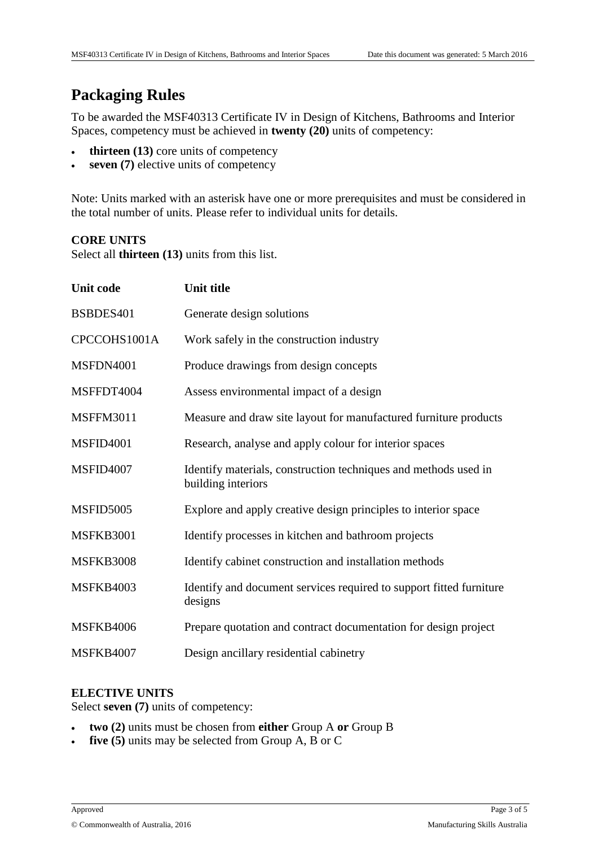# **Packaging Rules**

To be awarded the MSF40313 Certificate IV in Design of Kitchens, Bathrooms and Interior Spaces, competency must be achieved in **twenty (20)** units of competency:

- **thirteen (13)** core units of competency
- **seven (7)** elective units of competency

Note: Units marked with an asterisk have one or more prerequisites and must be considered in the total number of units. Please refer to individual units for details.

#### **CORE UNITS**

Select all **thirteen (13)** units from this list.

| <b>Unit code</b> | <b>Unit title</b>                                                                     |
|------------------|---------------------------------------------------------------------------------------|
| BSBDES401        | Generate design solutions                                                             |
| CPCCOHS1001A     | Work safely in the construction industry                                              |
| MSFDN4001        | Produce drawings from design concepts                                                 |
| MSFFDT4004       | Assess environmental impact of a design                                               |
| <b>MSFFM3011</b> | Measure and draw site layout for manufactured furniture products                      |
| <b>MSFID4001</b> | Research, analyse and apply colour for interior spaces                                |
| <b>MSFID4007</b> | Identify materials, construction techniques and methods used in<br>building interiors |
| <b>MSFID5005</b> | Explore and apply creative design principles to interior space                        |
| <b>MSFKB3001</b> | Identify processes in kitchen and bathroom projects                                   |
| <b>MSFKB3008</b> | Identify cabinet construction and installation methods                                |
| <b>MSFKB4003</b> | Identify and document services required to support fitted furniture<br>designs        |
| <b>MSFKB4006</b> | Prepare quotation and contract documentation for design project                       |
| <b>MSFKB4007</b> | Design ancillary residential cabinetry                                                |

#### **ELECTIVE UNITS**

Select **seven (7)** units of competency:

- **two (2)** units must be chosen from **either** Group A **or** Group B
- **five (5)** units may be selected from Group A, B or C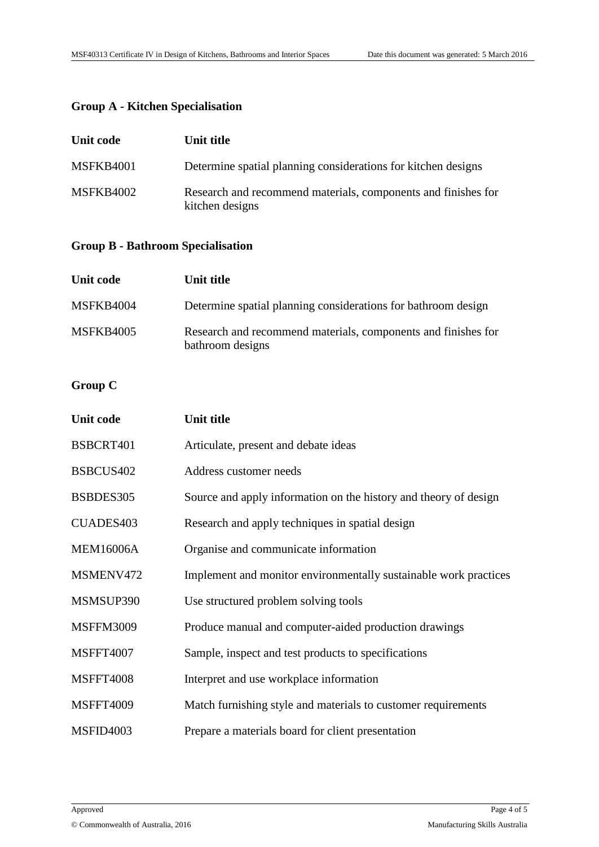#### **Group A - Kitchen Specialisation**

| Unit code        | Unit title                                                                       |
|------------------|----------------------------------------------------------------------------------|
| <b>MSFKB4001</b> | Determine spatial planning considerations for kitchen designs                    |
| MSFKB4002        | Research and recommend materials, components and finishes for<br>kitchen designs |

#### **Group B - Bathroom Specialisation**

| Unit code        | Unit title                                                                        |
|------------------|-----------------------------------------------------------------------------------|
| MSFKB4004        | Determine spatial planning considerations for bathroom design                     |
| <b>MSFKB4005</b> | Research and recommend materials, components and finishes for<br>bathroom designs |

#### **Group C**

| <b>Unit code</b> | Unit title                                                       |
|------------------|------------------------------------------------------------------|
| BSBCRT401        | Articulate, present and debate ideas                             |
| BSBCUS402        | Address customer needs                                           |
| BSBDES305        | Source and apply information on the history and theory of design |
| CUADES403        | Research and apply techniques in spatial design                  |
| <b>MEM16006A</b> | Organise and communicate information                             |
| MSMENV472        | Implement and monitor environmentally sustainable work practices |
| MSMSUP390        | Use structured problem solving tools                             |
| <b>MSFFM3009</b> | Produce manual and computer-aided production drawings            |
| <b>MSFFT4007</b> | Sample, inspect and test products to specifications              |
| <b>MSFFT4008</b> | Interpret and use workplace information                          |
| <b>MSFFT4009</b> | Match furnishing style and materials to customer requirements    |
| MSFID4003        | Prepare a materials board for client presentation                |